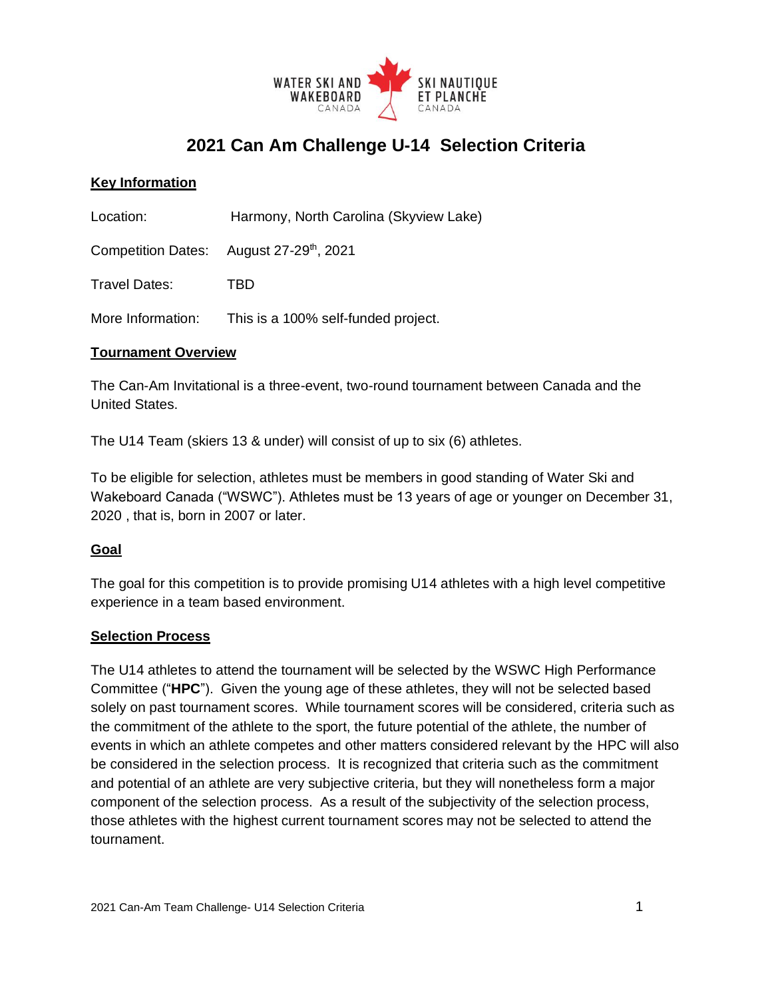

# **2021 Can Am Challenge U-14 Selection Criteria**

## **Key Information**

Location: Harmony, North Carolina (Skyview Lake)

**Competition Dates:** August 27-29<sup>th</sup>, 2021

Travel Dates: TBD

More Information: This is a 100% self-funded project.

#### **Tournament Overview**

The Can-Am Invitational is a three-event, two-round tournament between Canada and the United States.

The U14 Team (skiers 13 & under) will consist of up to six (6) athletes.

To be eligible for selection, athletes must be members in good standing of Water Ski and Wakeboard Canada ("WSWC"). Athletes must be 13 years of age or younger on December 31, 2020 , that is, born in 2007 or later.

#### **Goal**

The goal for this competition is to provide promising U14 athletes with a high level competitive experience in a team based environment.

#### **Selection Process**

The U14 athletes to attend the tournament will be selected by the WSWC High Performance Committee ("**HPC**"). Given the young age of these athletes, they will not be selected based solely on past tournament scores. While tournament scores will be considered, criteria such as the commitment of the athlete to the sport, the future potential of the athlete, the number of events in which an athlete competes and other matters considered relevant by the HPC will also be considered in the selection process. It is recognized that criteria such as the commitment and potential of an athlete are very subjective criteria, but they will nonetheless form a major component of the selection process. As a result of the subjectivity of the selection process, those athletes with the highest current tournament scores may not be selected to attend the tournament.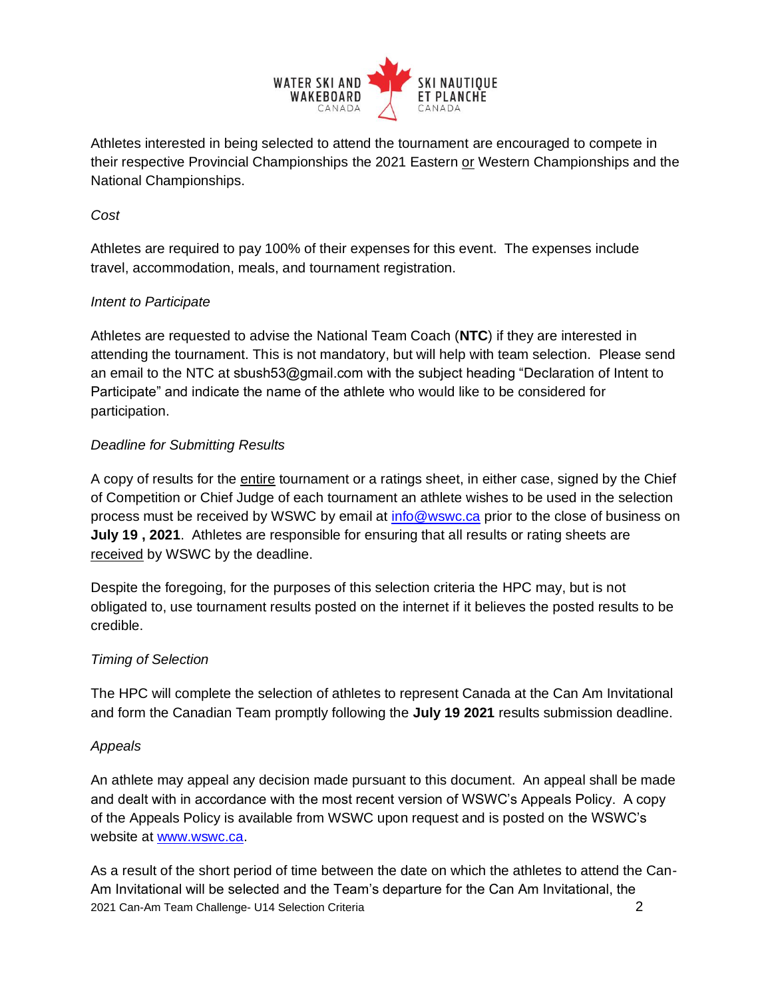

Athletes interested in being selected to attend the tournament are encouraged to compete in their respective Provincial Championships the 2021 Eastern or Western Championships and the National Championships.

## *Cost*

Athletes are required to pay 100% of their expenses for this event. The expenses include travel, accommodation, meals, and tournament registration.

## *Intent to Participate*

Athletes are requested to advise the National Team Coach (**NTC**) if they are interested in attending the tournament. This is not mandatory, but will help with team selection. Please send an email to the NTC at sbush53@gmail.com with the subject heading "Declaration of Intent to Participate" and indicate the name of the athlete who would like to be considered for participation.

## *Deadline for Submitting Results*

A copy of results for the entire tournament or a ratings sheet, in either case, signed by the Chief of Competition or Chief Judge of each tournament an athlete wishes to be used in the selection process must be received by WSWC by email at [info@wswc.ca](mailto:info@wswc.ca) prior to the close of business on **July 19 , 2021**. Athletes are responsible for ensuring that all results or rating sheets are received by WSWC by the deadline.

Despite the foregoing, for the purposes of this selection criteria the HPC may, but is not obligated to, use tournament results posted on the internet if it believes the posted results to be credible.

## *Timing of Selection*

The HPC will complete the selection of athletes to represent Canada at the Can Am Invitational and form the Canadian Team promptly following the **July 19 2021** results submission deadline.

#### *Appeals*

An athlete may appeal any decision made pursuant to this document. An appeal shall be made and dealt with in accordance with the most recent version of WSWC's Appeals Policy. A copy of the Appeals Policy is available from WSWC upon request and is posted on the WSWC's website a[t](http://www.waterski-wakeboard.ca/) [www.wswc.ca.](http://www.wswc.ca/)

2021 Can-Am Team Challenge- U14 Selection Criteria 2 As a result of the short period of time between the date on which the athletes to attend the Can-Am Invitational will be selected and the Team's departure for the Can Am Invitational, the